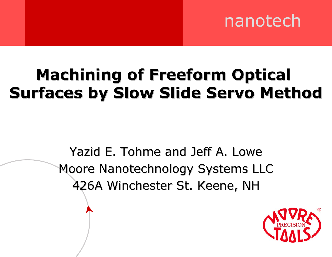# nanotech

# **Machining of Freeform Optical Surfaces by Slow Slide Servo Method**

Yazid E. Tohme and Jeff A. Lowe Moore Nanotechnology Systems LLC 426A Winchester St. Keene, NH 426A Winchester St. Keene, NH

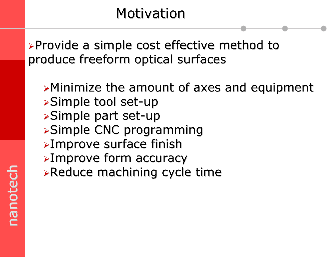#### Motivation

 $\triangleright$ Provide a simple cost effective method to produce freeform optical surfaces

 $\triangleright$ Minimize the amount of axes and equipment  $\triangleright$ Simple tool set-up  $\triangleright$ Simple part set-up **>Simple CNC programming**  $\triangleright$ Improve surface finish <sup>¾</sup>Improve form accuracy Improve form accuracy  $\triangleright$ Reduce machining cycle time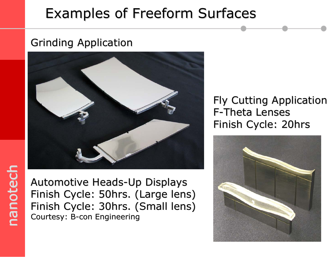#### Examples of Freeform Surfaces

#### Grinding Application Grinding Application



Automotive Heads-Up Displays Automotive Heads-Up Displays Finish Cycle: 50hrs. (Large lens) Finish Cycle: 30hrs. (Small lens) Courtesy: B-con Engineering

#### Fly Cutting Application F-Theta Lenses Finish Cycle: 20hrs

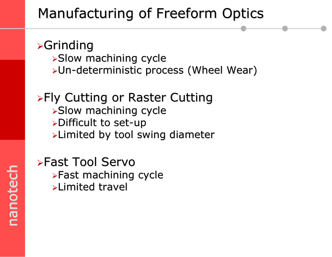# Manufacturing of Freeform Optics

#### $\triangleright$ Grinding

- $\triangleright$ Slow machining cycle
- ≻Un-deterministic process (Wheel Wear)

#### $\triangleright$ Fly Cutting or Raster Cutting  $\triangleright$ Slow machining cycle  $\triangleright$ Difficult to set-up  $\blacktriangleright$ Limited by tool swing diameter

#### **≽Fast Tool Servo**  $\triangleright$  Fast machining cycle  $\blacktriangleright$ Limited travel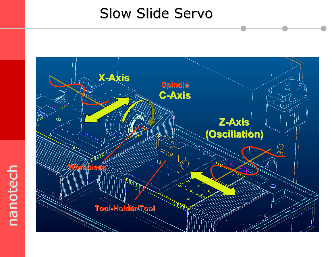#### Slow Slide Servo

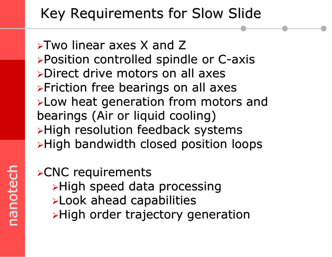# Key Requirements for Slow Slide

 $\triangleright$ Two linear axes X and Z <sup>¾</sup>Position controlled spindle or C-axis Position controlled spindle or C-axis ¾Direct drive motors on all axes Direct drive motors on all axes $\triangleright$ Friction free bearings on all axes <sup>¾</sup>Low heat generation from motors and Low heat generation from motors and bearings (Air or liquid cooling)  $\triangleright$ High resolution feedback systems  $\triangleright$ High bandwidth closed position loops

#### $\triangle$ CNC requirements

- $\blacktriangleright$ High speed data processing
- $\blacktriangleright$  Look ahead capabilities
- $\blacktriangleright$ High order trajectory generation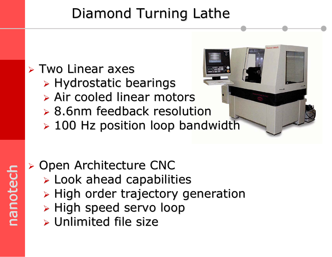# Diamond Turning Lathe

# $\triangleright$  Two Linear axes

- $\triangleright$  Hydrostatic bearings
- $\triangleright$  Air cooled linear motors
- $\geq 8.6$ nm feedback resolution
- $\geq 100$  Hz position loop bandwidth

# nanotech nanotech nanotech

- ¾ Open Architecture CNC Open Architecture CNC
	- $\triangleright$  Look ahead capabilities
	- $\triangleright$  High order trajectory generation
	- $\triangleright$  High speed servo loop
	- $\triangleright$  Unlimited file size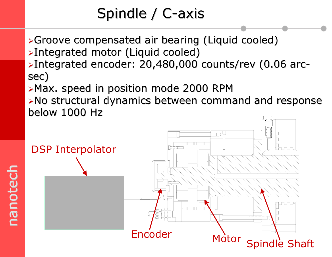# Spindle /  $C$ -axis

- <sup>¾</sup>Groove compensated air bearing (Liquid cooled) Groove compensated air bearing (Liquid cooled) <sup>¾</sup>Integrated motor (Liquid cooled) Integrated motor (Liquid cooled)
- <sup>¾</sup>Integrated encoder: 20,480, Integrated encoder: 20,480,000 counts/rev (0.06 arc- 000 counts/rev (0.06 arcsec)
- $\triangleright$ Max. speed in position mode 2000 RPM
- $\triangleright$ No structural dynamics between command and response below 1000 Hz

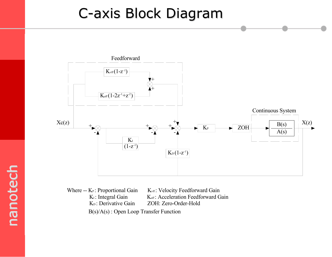#### C-axis Block Diagram C-axis Block Diagram



Where --  $K_P$ : Proportional Gain  $K_{\text{vff}}$ : Velocity Feedforward Gain  $K_{I}$ : Integral Gain  $K_{\text{aff}}$ : Acceleration Feedforward Gain K<sub>D</sub>: Derivative Gain ZOH: Zero-Order-Hold B(s)/A(s) : Open Loop Transfer Function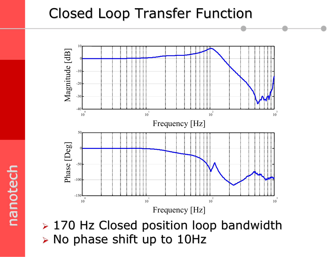#### Closed Loop Transfer Function Closed Loop Transfer Function



 $\triangleright$  170 Hz Closed position loop bandwidth  $\triangleright$  No phase shift up to 10Hz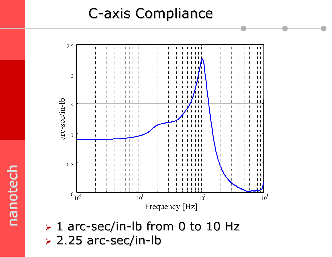#### **C-axis Compliance**



 $> 1$  arc-sec/in-lb from 0 to 10 Hz  $\geq$  2.25 arc-sec/in-lb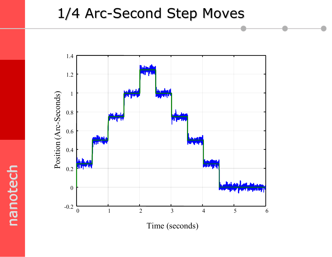#### 1/4 Arc-Second Step Moves 1/4 Arc-Second Step Moves



nanotech nanotech nanotech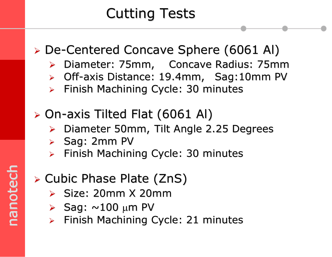# **Cutting Tests**

#### ► De-Centered Concave Sphere (6061 Al)

- ¾Diameter: 75mm, Concave Radius: 75mm
- ▶ Off-axis Distance: 19.4mm, Sag:10mm PV
- ¾Finish Machining Cycle: 30 minutes
- $\triangleright$  On-axis Tilted Flat (6061 Al)
	- ¾Diameter 50mm, Tilt Angle 2.25 Degrees
	- $\triangleright$  Sag: 2mm PV
	- $\blacktriangleright$ Finish Machining Cycle: 30 minutes

#### $\triangleright$  Cubic Phase Plate (ZnS)

- $\triangleright$  Size: 20mm X 20mm
- $\triangleright$  Sag:  $\sim$ 100 µm PV
- ¾Finish Machining Cycle: 21 minutes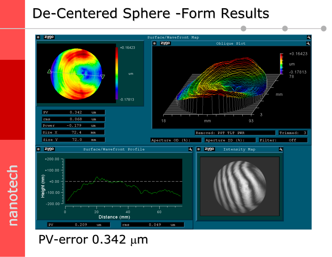#### De-Centered Sphere -Form Results

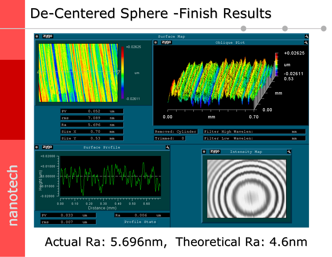#### De-Centered Sphere -Finish Results



Actual Ra: 5.696nm, Theoretical Ra: 4.6nm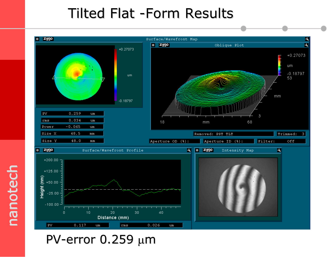#### Tilted Flat -Form Results



nanotech nanotech nanotech

#### PV-error  $0.259 \mu m$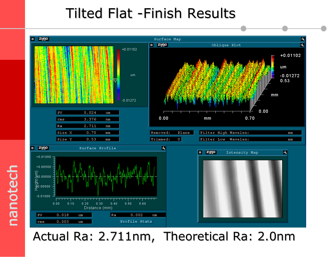#### Tilted Flat -Finish Results



Actual Ra: 2.711nm, Theoretical Ra: 2.0nm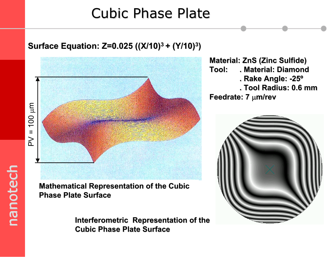#### Cubic Phase Plate

# $PV = 100$  $PU = 100 \mu m$

#### **Mathematical Representation of the Cubic Phase Plate Surface Phase Plate Surface**

**Interferometric Representation of the Interferometric Representation of the Cubic Phase Plate Surface Cubic Phase Plate Surface**

**Material: ZnS (Zinc Sulfide) Material: ZnS (Zinc Sulfide) Tool: . Material: Diamond . Material: Diamond. Rake Angle: -25º . Rake Angle: -25º . Tool Radius: 0.6 mmFeedrate: 7 µm/rev** 



#### **Surface Equation: Z=0.025 ((X/10) Surface Equation: Z=0.025 ((X/10)3 + (Y/10) + (Y/10)3)**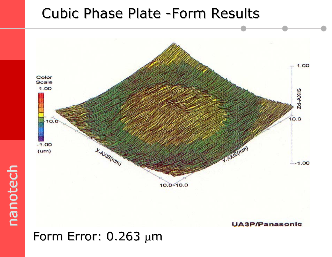#### Cubic Phase Plate -Form Results



#### Form Error:  $0.263 \mu m$

nanotech nanotech nanotech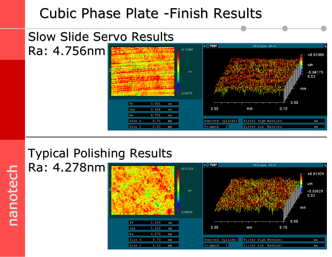#### Cubic Phase Plate -Finish Results



#### **Typical Polishing Results**

nanotech nanotech

nanotech